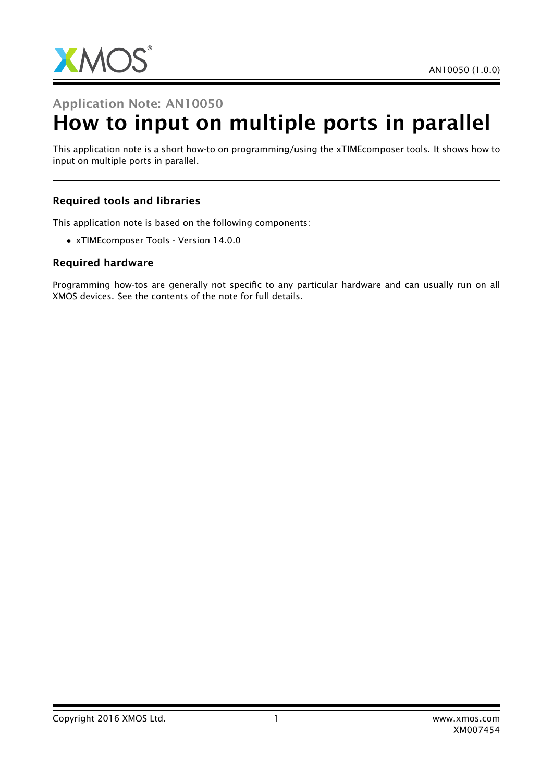

## Application Note: AN10050

# How to input on multiple ports in parallel

This application note is a short how-to on programming/using the xTIMEcomposer tools. It shows how to input on multiple ports in parallel.

### Required tools and libraries

This application note is based on the following components:

• xTIMEcomposer Tools - Version 14.0.0

#### Required hardware

Programming how-tos are generally not specific to any particular hardware and can usually run on all XMOS devices. See the contents of the note for full details.